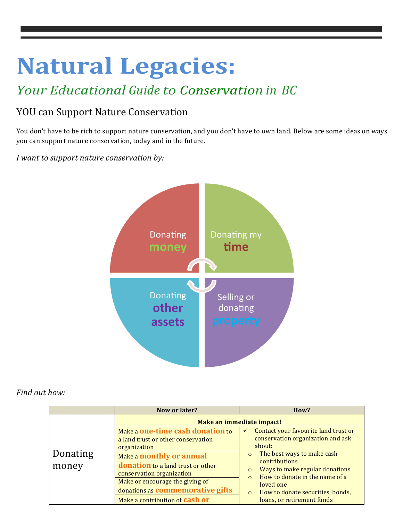# **Natural Legacies:**

## *Your Educational Guide to Conservation in BC*

## YOU can Support Nature Conservation

You don't have to be rich to support nature conservation, and you don't have to own land. Below are some ideas on ways you can support nature conservation, today and in the future.

### *I* want to support nature conservation by:



### *Find out how:*

|                   | Now or later?                                                                                                                                                                                                                                                                                        | How?                                                                                                                                                                                                                                                                                                                                               |  |
|-------------------|------------------------------------------------------------------------------------------------------------------------------------------------------------------------------------------------------------------------------------------------------------------------------------------------------|----------------------------------------------------------------------------------------------------------------------------------------------------------------------------------------------------------------------------------------------------------------------------------------------------------------------------------------------------|--|
|                   | Make an immediate impact!                                                                                                                                                                                                                                                                            |                                                                                                                                                                                                                                                                                                                                                    |  |
| Donating<br>money | Make a one-time cash donation to<br>a land trust or other conservation<br>organization<br>Make a monthly or annual<br>donation to a land trust or other<br>conservation organization<br>Make or encourage the giving of<br>donations as commemorative gifts<br>Make a contribution of <b>cash or</b> | Contact your favourite land trust or<br>$\checkmark$<br>conservation organization and ask<br>about:<br>The best ways to make cash<br>$\circ$<br>contributions<br>Ways to make regular donations<br>$\circ$<br>How to donate in the name of a<br>$\Omega$<br>loved one<br>How to donate securities, bonds,<br>$\circ$<br>loans, or retirement funds |  |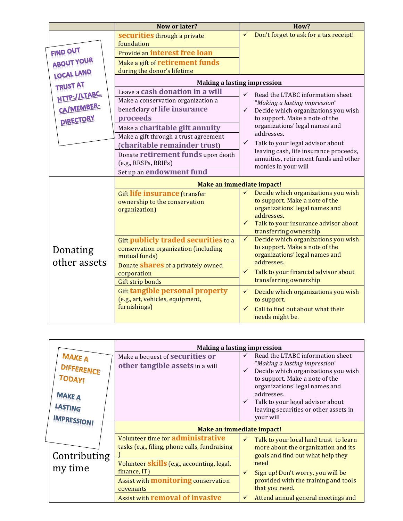|                        | Now or later?                                    | How?                                                                            |
|------------------------|--------------------------------------------------|---------------------------------------------------------------------------------|
| FIND OUT<br>ABOUT YOUR | securities through a private<br>foundation       | Don't forget to ask for a tax receipt!<br>$\checkmark$                          |
|                        | Provide an interest free loan                    |                                                                                 |
|                        | Make a gift of retirement funds                  |                                                                                 |
| <b>LOCAL LAND</b>      | during the donor's lifetime                      |                                                                                 |
| <b>TRUST AT</b>        | <b>Making a lasting impression</b>               |                                                                                 |
|                        | Leave a cash donation in a will                  | ✓<br>Read the LTABC information sheet                                           |
| HTTP://LTABC.          | Make a conservation organization a               | "Making a lasting impression"                                                   |
| CA/MEMBER-             | beneficiary of life insurance                    | Decide which organizations you wish<br>$\checkmark$                             |
| DIRECTORY              | proceeds                                         | to support. Make a note of the                                                  |
|                        | Make a charitable gift annuity                   | organizations' legal names and                                                  |
|                        | Make a gift through a trust agreement            | addresses.                                                                      |
|                        | (charitable remainder trust)                     | $\checkmark$<br>Talk to your legal advisor about                                |
|                        | Donate retirement funds upon death               | leaving cash, life insurance proceeds,<br>annuities, retirement funds and other |
|                        | (e.g., RRSPs, RRIFs)                             | monies in your will                                                             |
|                        | Set up an endowment fund                         |                                                                                 |
|                        | Make an immediate impact!                        |                                                                                 |
|                        | <b>Gift life insurance (transfer</b>             | Decide which organizations you wish                                             |
|                        | ownership to the conservation                    | to support. Make a note of the                                                  |
|                        | organization)                                    | organizations' legal names and<br>addresses.                                    |
|                        |                                                  | Talk to your insurance advisor about<br>$\checkmark$                            |
|                        |                                                  | transferring ownership                                                          |
|                        | Gift publicly traded securities to a             | $\checkmark$<br>Decide which organizations you wish                             |
| Donating               | conservation organization (including             | to support. Make a note of the                                                  |
| other assets           | mutual funds)                                    | organizations' legal names and                                                  |
|                        | Donate shares of a privately owned               | addresses.                                                                      |
|                        | corporation                                      | Talk to your financial advisor about<br>$\checkmark$<br>transferring ownership  |
|                        | <b>Gift strip bonds</b>                          |                                                                                 |
|                        | <b>Gift tangible personal property</b>           | $\checkmark$<br>Decide which organizations you wish                             |
|                        | (e.g., art, vehicles, equipment,<br>furnishings) | to support.                                                                     |
|                        |                                                  | Call to find out about what their<br>$\checkmark$                               |
|                        |                                                  | needs might be.                                                                 |

|                                                                                                       | <b>Making a lasting impression</b>                                                 |                                                                                                                                                                                                                                                                                      |
|-------------------------------------------------------------------------------------------------------|------------------------------------------------------------------------------------|--------------------------------------------------------------------------------------------------------------------------------------------------------------------------------------------------------------------------------------------------------------------------------------|
| <b>MAKE A</b><br><b>DIFFERENCE</b><br><b>TODAY!</b><br><b>MAKE A</b><br>LASTING<br><b>IMPRESSION!</b> | Make a bequest of <b>securities</b> or<br>other tangible assets in a will          | Read the LTABC information sheet<br>"Making a lasting impression"<br>Decide which organizations you wish<br>to support. Make a note of the<br>organizations' legal names and<br>addresses.<br>Talk to your legal advisor about<br>leaving securities or other assets in<br>your will |
| Contributing<br>my time                                                                               | Make an immediate impact!                                                          |                                                                                                                                                                                                                                                                                      |
|                                                                                                       | Volunteer time for administrative<br>tasks (e.g., filing, phone calls, fundraising | Talk to your local land trust to learn<br>more about the organization and its<br>goals and find out what help they                                                                                                                                                                   |
|                                                                                                       | Volunteer <b>skills</b> (e.g., accounting, legal,<br>finance, IT)                  | need<br>$\checkmark$<br>Sign up! Don't worry, you will be                                                                                                                                                                                                                            |
|                                                                                                       | Assist with <b>monitoring</b> conservation<br>covenants                            | provided with the training and tools<br>that you need.                                                                                                                                                                                                                               |
|                                                                                                       | <b>Assist with removal of invasive</b>                                             | Attend annual general meetings and                                                                                                                                                                                                                                                   |